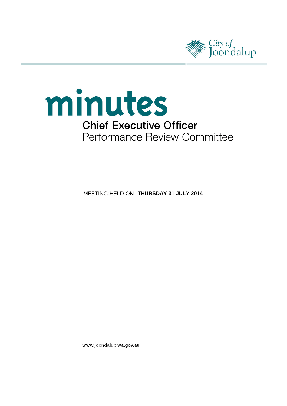



**MEETING HELD ON THURSDAY 31 JULY 2014** 

www.joondalup.wa.gov.au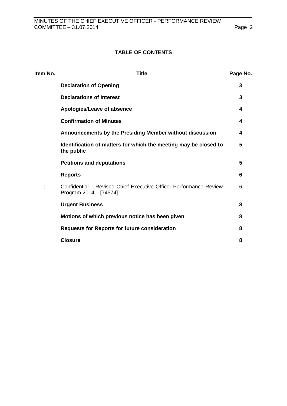# **TABLE OF CONTENTS**

| Item No. | <b>Title</b>                                                                                | Page No. |
|----------|---------------------------------------------------------------------------------------------|----------|
|          | <b>Declaration of Opening</b>                                                               | 3        |
|          | <b>Declarations of Interest</b>                                                             | 3        |
|          | Apologies/Leave of absence                                                                  | 4        |
|          | <b>Confirmation of Minutes</b>                                                              | 4        |
|          | Announcements by the Presiding Member without discussion                                    | 4        |
|          | Identification of matters for which the meeting may be closed to<br>the public              | 5        |
|          | <b>Petitions and deputations</b>                                                            | 5        |
|          | <b>Reports</b>                                                                              | 6        |
| 1        | Confidential – Revised Chief Executive Officer Performance Review<br>Program 2014 - [74574] | 6        |
|          | <b>Urgent Business</b>                                                                      | 8        |
|          | Motions of which previous notice has been given                                             | 8        |
|          | <b>Requests for Reports for future consideration</b>                                        | 8        |
|          | <b>Closure</b>                                                                              | 8        |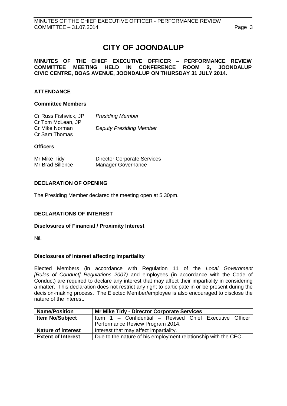# **CITY OF JOONDALUP**

# **MINUTES OF THE CHIEF EXECUTIVE OFFICER – PERFORMANCE REVIEW COMMITTEE MEETING HELD IN CONFERENCE ROOM 2, JOONDALUP CIVIC CENTRE, BOAS AVENUE, JOONDALUP ON THURSDAY 31 JULY 2014.**

# **ATTENDANCE**

## **Committee Members**

| Cr Russ Fishwick, JP<br>Cr Tom McLean, JP | <b>Presiding Member</b>        |
|-------------------------------------------|--------------------------------|
| Cr Mike Norman<br>Cr Sam Thomas           | <b>Deputy Presiding Member</b> |

# **Officers**

| Mr Mike Tidy     | <b>Director Corporate Services</b> |
|------------------|------------------------------------|
| Mr Brad Sillence | <b>Manager Governance</b>          |

# <span id="page-2-0"></span>**DECLARATION OF OPENING**

The Presiding Member declared the meeting open at 5.30pm.

# <span id="page-2-1"></span>**DECLARATIONS OF INTEREST**

# **Disclosures of Financial / Proximity Interest**

Nil.

# **Disclosures of interest affecting impartiality**

Elected Members (in accordance with Regulation 11 of the *Local Government [Rules of Conduct] Regulations 2007)* and employees (in accordance with the Code of Conduct) are required to declare any interest that may affect their impartiality in considering a matter. This declaration does not restrict any right to participate in or be present during the decision-making process. The Elected Member/employee is also encouraged to disclose the nature of the interest.

| <b>Name/Position</b>      | <b>Mr Mike Tidy - Director Corporate Services</b>              |  |
|---------------------------|----------------------------------------------------------------|--|
| <b>Item No/Subject</b>    | Item 1 - Confidential - Revised Chief Executive Officer        |  |
|                           | Performance Review Program 2014.                               |  |
| <b>Nature of interest</b> | Interest that may affect impartiality.                         |  |
| <b>Extent of Interest</b> | Due to the nature of his employment relationship with the CEO. |  |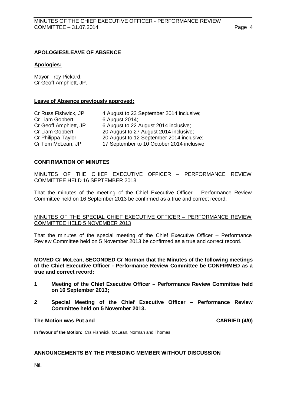# <span id="page-3-0"></span>**APOLOGIES/LEAVE OF ABSENCE**

#### **Apologies:**

Mayor Troy Pickard. Cr Geoff Amphlett, JP.

#### **Leave of Absence previously approved:**

| Cr Russ Fishwick, JP  | 4 August to 23 September 2014 inclusive;   |
|-----------------------|--------------------------------------------|
| Cr Liam Gobbert       | 6 August 2014;                             |
| Cr Geoff Amphlett, JP | 6 August to 22 August 2014 inclusive;      |
| Cr Liam Gobbert       | 20 August to 27 August 2014 inclusive;     |
| Cr Philippa Taylor    | 20 August to 12 September 2014 inclusive;  |
| Cr Tom McLean, JP     | 17 September to 10 October 2014 inclusive. |

# <span id="page-3-1"></span>**CONFIRMATION OF MINUTES**

# MINUTES OF THE CHIEF EXECUTIVE OFFICER – PERFORMANCE REVIEW COMMITTEE HELD 16 SEPTEMBER 2013

That the minutes of the meeting of the Chief Executive Officer – Performance Review Committee held on 16 September 2013 be confirmed as a true and correct record.

#### MINUTES OF THE SPECIAL CHIEF EXECUTIVE OFFICER – PERFORMANCE REVIEW COMMITTEE HELD 5 NOVEMBER 2013

That the minutes of the special meeting of the Chief Executive Officer – Performance Review Committee held on 5 November 2013 be confirmed as a true and correct record.

**MOVED Cr McLean, SECONDED Cr Norman that the Minutes of the following meetings of the Chief Executive Officer - Performance Review Committee be CONFIRMED as a true and correct record:**

- **1 Meeting of the Chief Executive Officer – Performance Review Committee held on 16 September 2013;**
- **2 Special Meeting of the Chief Executive Officer – Performance Review Committee held on 5 November 2013.**

#### <span id="page-3-2"></span>**The Motion was Put and CARRIED (4/0)**

**In favour of the Motion:** Crs Fishwick, McLean, Norman and Thomas.

#### **ANNOUNCEMENTS BY THE PRESIDING MEMBER WITHOUT DISCUSSION**

Nil.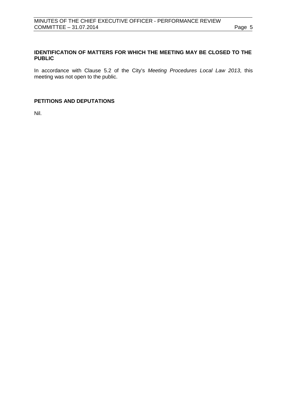# <span id="page-4-0"></span>**IDENTIFICATION OF MATTERS FOR WHICH THE MEETING MAY BE CLOSED TO THE PUBLIC**

In accordance with Clause 5.2 of the City's *Meeting Procedures Local Law 2013*, this meeting was not open to the public.

# <span id="page-4-1"></span>**PETITIONS AND DEPUTATIONS**

Nil.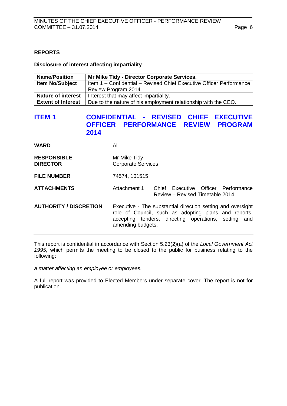# <span id="page-5-0"></span>**REPORTS**

#### <span id="page-5-1"></span>**Disclosure of interest affecting impartiality**

| <b>Name/Position</b>      | Mr Mike Tidy - Director Corporate Services.                         |
|---------------------------|---------------------------------------------------------------------|
| <b>Item No/Subject</b>    | Item 1 - Confidential - Revised Chief Executive Officer Performance |
|                           | Review Program 2014.                                                |
| <b>Nature of interest</b> | Interest that may affect impartiality.                              |
| <b>Extent of Interest</b> | Due to the nature of his employment relationship with the CEO.      |

# **ITEM 1 CONFIDENTIAL - REVISED CHIEF EXECUTIVE OFFICER PERFORMANCE REVIEW PROGRAM 2014**

| <b>WARD</b>                           | All                                                                                                                                                                                              |  |
|---------------------------------------|--------------------------------------------------------------------------------------------------------------------------------------------------------------------------------------------------|--|
| <b>RESPONSIBLE</b><br><b>DIRECTOR</b> | Mr Mike Tidy<br><b>Corporate Services</b>                                                                                                                                                        |  |
| <b>FILE NUMBER</b>                    | 74574, 101515                                                                                                                                                                                    |  |
| <b>ATTACHMENTS</b>                    | Attachment 1<br>Chief Executive Officer Performance<br>Review – Revised Timetable 2014.                                                                                                          |  |
| <b>AUTHORITY / DISCRETION</b>         | Executive - The substantial direction setting and oversight<br>role of Council, such as adopting plans and reports,<br>accepting tenders, directing operations, setting and<br>amending budgets. |  |

This report is confidential in accordance with Section 5.23(2)(a) of the *Local Government Act 1995*, which permits the meeting to be closed to the public for business relating to the following:

*a matter affecting an employee or employees.*

A full report was provided to Elected Members under separate cover. The report is not for publication.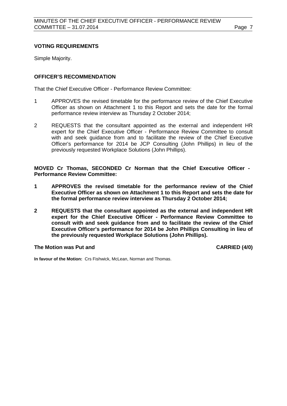## **VOTING REQUIREMENTS**

Simple Majority.

## **OFFICER'S RECOMMENDATION**

That the Chief Executive Officer - Performance Review Committee:

- 1 APPROVES the revised timetable for the performance review of the Chief Executive Officer as shown on Attachment 1 to this Report and sets the date for the formal performance review interview as Thursday 2 October 2014;
- 2 REQUESTS that the consultant appointed as the external and independent HR expert for the Chief Executive Officer - Performance Review Committee to consult with and seek guidance from and to facilitate the review of the Chief Executive Officer's performance for 2014 be JCP Consulting (John Phillips) in lieu of the previously requested Workplace Solutions (John Phillips).

**MOVED Cr Thomas, SECONDED Cr Norman that the Chief Executive Officer - Performance Review Committee:**

- **1 APPROVES the revised timetable for the performance review of the Chief Executive Officer as shown on Attachment 1 to this Report and sets the date for the formal performance review interview as Thursday 2 October 2014;**
- **2 REQUESTS that the consultant appointed as the external and independent HR expert for the Chief Executive Officer - Performance Review Committee to consult with and seek guidance from and to facilitate the review of the Chief Executive Officer's performance for 2014 be John Phillips Consulting in lieu of the previously requested Workplace Solutions (John Phillips).**

#### **The Motion was Put and CARRIED (4/0)**

**In favour of the Motion:** Crs Fishwick, McLean, Norman and Thomas.